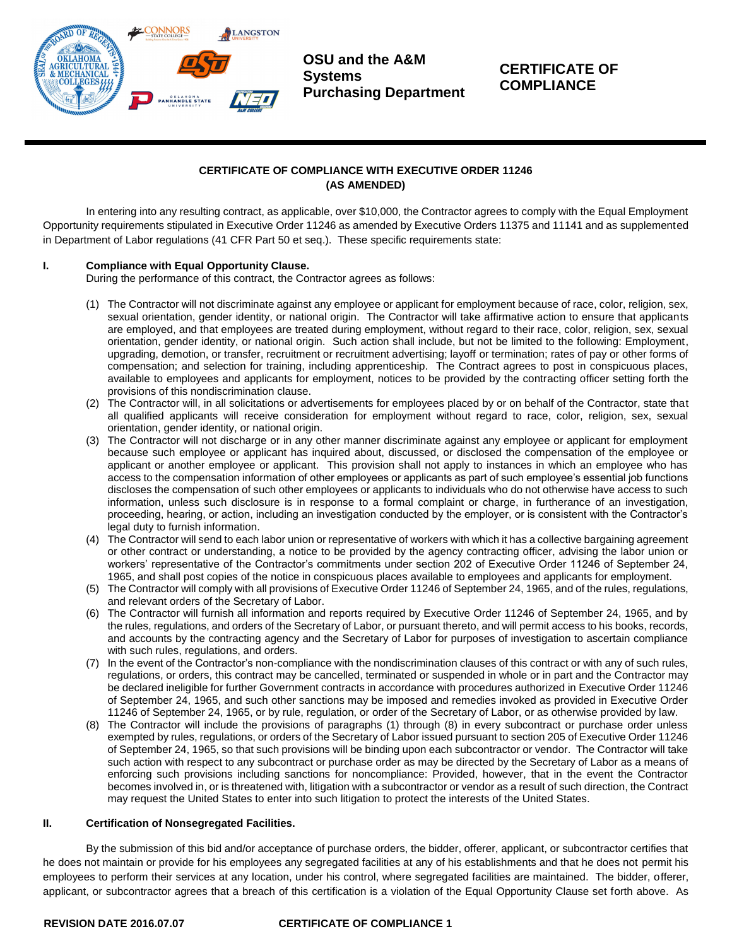

**OSU and the A&M Systems Purchasing Department**

# **CERTIFICATE OF COMPLIANCE**

## **CERTIFICATE OF COMPLIANCE WITH EXECUTIVE ORDER 11246 (AS AMENDED)**

In entering into any resulting contract, as applicable, over \$10,000, the Contractor agrees to comply with the Equal Employment Opportunity requirements stipulated in Executive Order 11246 as amended by Executive Orders 11375 and 11141 and as supplemented in Department of Labor regulations (41 CFR Part 50 et seq.). These specific requirements state:

## **I. Compliance with Equal Opportunity Clause.**

During the performance of this contract, the Contractor agrees as follows:

- (1) The Contractor will not discriminate against any employee or applicant for employment because of race, color, religion, sex, sexual orientation, gender identity, or national origin. The Contractor will take affirmative action to ensure that applicants are employed, and that employees are treated during employment, without regard to their race, color, religion, sex, sexual orientation, gender identity, or national origin. Such action shall include, but not be limited to the following: Employment, upgrading, demotion, or transfer, recruitment or recruitment advertising; layoff or termination; rates of pay or other forms of compensation; and selection for training, including apprenticeship. The Contract agrees to post in conspicuous places, available to employees and applicants for employment, notices to be provided by the contracting officer setting forth the provisions of this nondiscrimination clause.
- (2) The Contractor will, in all solicitations or advertisements for employees placed by or on behalf of the Contractor, state that all qualified applicants will receive consideration for employment without regard to race, color, religion, sex, sexual orientation, gender identity, or national origin.
- (3) The Contractor will not discharge or in any other manner discriminate against any employee or applicant for employment because such employee or applicant has inquired about, discussed, or disclosed the compensation of the employee or applicant or another employee or applicant. This provision shall not apply to instances in which an employee who has access to the compensation information of other employees or applicants as part of such employee's essential job functions discloses the compensation of such other employees or applicants to individuals who do not otherwise have access to such information, unless such disclosure is in response to a formal complaint or charge, in furtherance of an investigation, proceeding, hearing, or action, including an investigation conducted by the employer, or is consistent with the Contractor's legal duty to furnish information.
- (4) The Contractor will send to each labor union or representative of workers with which it has a collective bargaining agreement or other contract or understanding, a notice to be provided by the agency contracting officer, advising the labor union or workers' representative of the Contractor's commitments under section 202 of Executive Order 11246 of September 24, 1965, and shall post copies of the notice in conspicuous places available to employees and applicants for employment.
- (5) The Contractor will comply with all provisions of Executive Order 11246 of September 24, 1965, and of the rules, regulations, and relevant orders of the Secretary of Labor.
- (6) The Contractor will furnish all information and reports required by Executive Order 11246 of September 24, 1965, and by the rules, regulations, and orders of the Secretary of Labor, or pursuant thereto, and will permit access to his books, records, and accounts by the contracting agency and the Secretary of Labor for purposes of investigation to ascertain compliance with such rules, regulations, and orders.
- (7) In the event of the Contractor's non-compliance with the nondiscrimination clauses of this contract or with any of such rules, regulations, or orders, this contract may be cancelled, terminated or suspended in whole or in part and the Contractor may be declared ineligible for further Government contracts in accordance with procedures authorized in Executive Order 11246 of September 24, 1965, and such other sanctions may be imposed and remedies invoked as provided in Executive Order 11246 of September 24, 1965, or by rule, regulation, or order of the Secretary of Labor, or as otherwise provided by law.
- (8) The Contractor will include the provisions of paragraphs (1) through (8) in every subcontract or purchase order unless exempted by rules, regulations, or orders of the Secretary of Labor issued pursuant to section 205 of Executive Order 11246 of September 24, 1965, so that such provisions will be binding upon each subcontractor or vendor. The Contractor will take such action with respect to any subcontract or purchase order as may be directed by the Secretary of Labor as a means of enforcing such provisions including sanctions for noncompliance: Provided, however, that in the event the Contractor becomes involved in, or is threatened with, litigation with a subcontractor or vendor as a result of such direction, the Contract may request the United States to enter into such litigation to protect the interests of the United States.

#### **II. Certification of Nonsegregated Facilities.**

By the submission of this bid and/or acceptance of purchase orders, the bidder, offerer, applicant, or subcontractor certifies that he does not maintain or provide for his employees any segregated facilities at any of his establishments and that he does not permit his employees to perform their services at any location, under his control, where segregated facilities are maintained. The bidder, offerer, applicant, or subcontractor agrees that a breach of this certification is a violation of the Equal Opportunity Clause set forth above. As

#### **REVISION DATE 2016.07.07 CERTIFICATE OF COMPLIANCE 1**